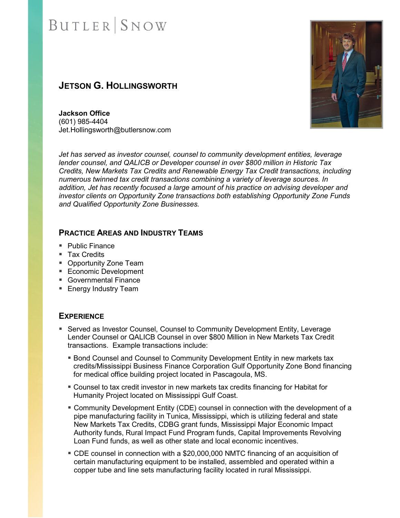### **JETSON G. HOLLINGSWORTH**



**Jackson Office** (601) 985-4404 Jet.Hollingsworth@butlersnow.com

*Jet has served as investor counsel, counsel to community development entities, leverage lender counsel, and QALICB or Developer counsel in over \$800 million in Historic Tax Credits, New Markets Tax Credits and Renewable Energy Tax Credit transactions, including numerous twinned tax credit transactions combining a variety of leverage sources. In addition, Jet has recently focused a large amount of his practice on advising developer and investor clients on Opportunity Zone transactions both establishing Opportunity Zone Funds and Qualified Opportunity Zone Businesses.* 

#### **PRACTICE AREAS AND INDUSTRY TEAMS**

- Public Finance
- Tax Credits
- **Opportunity Zone Team**
- **Economic Development**
- Governmental Finance
- **Energy Industry Team**

#### **EXPERIENCE**

- **Served as Investor Counsel, Counsel to Community Development Entity, Leverage Interact** Lender Counsel or QALICB Counsel in over \$800 Million in New Markets Tax Credit transactions. Example transactions include:
	- **Bond Counsel and Counsel to Community Development Entity in new markets tax** credits/Mississippi Business Finance Corporation Gulf Opportunity Zone Bond financing for medical office building project located in Pascagoula, MS.
	- Counsel to tax credit investor in new markets tax credits financing for Habitat for Humanity Project located on Mississippi Gulf Coast.
	- Community Development Entity (CDE) counsel in connection with the development of a pipe manufacturing facility in Tunica, Mississippi, which is utilizing federal and state New Markets Tax Credits, CDBG grant funds, Mississippi Major Economic Impact Authority funds, Rural Impact Fund Program funds, Capital Improvements Revolving Loan Fund funds, as well as other state and local economic incentives.
	- CDE counsel in connection with a \$20,000,000 NMTC financing of an acquisition of certain manufacturing equipment to be installed, assembled and operated within a copper tube and line sets manufacturing facility located in rural Mississippi.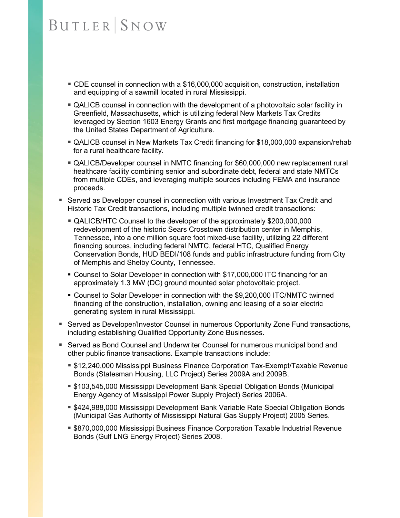- CDE counsel in connection with a \$16,000,000 acquisition, construction, installation and equipping of a sawmill located in rural Mississippi.
- QALICB counsel in connection with the development of a photovoltaic solar facility in Greenfield, Massachusetts, which is utilizing federal New Markets Tax Credits leveraged by Section 1603 Energy Grants and first mortgage financing guaranteed by the United States Department of Agriculture.
- QALICB counsel in New Markets Tax Credit financing for \$18,000,000 expansion/rehab for a rural healthcare facility.
- QALICB/Developer counsel in NMTC financing for \$60,000,000 new replacement rural healthcare facility combining senior and subordinate debt, federal and state NMTCs from multiple CDEs, and leveraging multiple sources including FEMA and insurance proceeds.
- Served as Developer counsel in connection with various Investment Tax Credit and Historic Tax Credit transactions, including multiple twinned credit transactions:
	- QALICB/HTC Counsel to the developer of the approximately \$200,000,000 redevelopment of the historic Sears Crosstown distribution center in Memphis, Tennessee, into a one million square foot mixed-use facility, utilizing 22 different financing sources, including federal NMTC, federal HTC, Qualified Energy Conservation Bonds, HUD BEDI/108 funds and public infrastructure funding from City of Memphis and Shelby County, Tennessee.
	- Counsel to Solar Developer in connection with \$17,000,000 ITC financing for an approximately 1.3 MW (DC) ground mounted solar photovoltaic project.
	- Counsel to Solar Developer in connection with the \$9,200,000 ITC/NMTC twinned financing of the construction, installation, owning and leasing of a solar electric generating system in rural Mississippi.
- **Served as Developer/Investor Counsel in numerous Opportunity Zone Fund transactions,** including establishing Qualified Opportunity Zone Businesses.
- Served as Bond Counsel and Underwriter Counsel for numerous municipal bond and other public finance transactions. Example transactions include:
	- \$12,240,000 Mississippi Business Finance Corporation Tax-Exempt/Taxable Revenue Bonds (Statesman Housing, LLC Project) Series 2009A and 2009B.
	- \$103,545,000 Mississippi Development Bank Special Obligation Bonds (Municipal Energy Agency of Mississippi Power Supply Project) Series 2006A.
	- **\$424,988,000 Mississippi Development Bank Variable Rate Special Obligation Bonds** (Municipal Gas Authority of Mississippi Natural Gas Supply Project) 2005 Series.
	- \$870,000,000 Mississippi Business Finance Corporation Taxable Industrial Revenue Bonds (Gulf LNG Energy Project) Series 2008.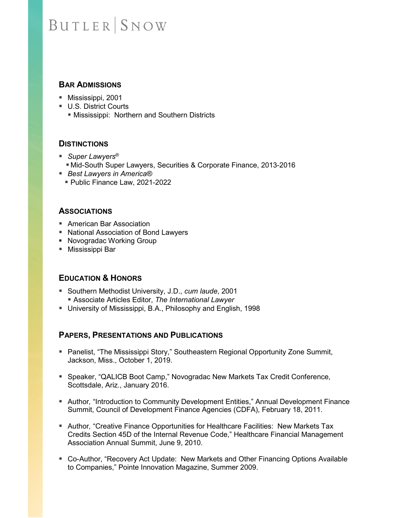#### **BAR ADMISSIONS**

- Mississippi, 2001
- U.S. District Courts
	- **Mississippi: Northern and Southern Districts**

#### **DISTINCTIONS**

- *Super Lawyers*<sup>®</sup>
	- Mid-South Super Lawyers, Securities & Corporate Finance, 2013-2016
- *Best Lawyers in America®*
	- Public Finance Law, 2021-2022

#### **ASSOCIATIONS**

- American Bar Association
- National Association of Bond Lawyers
- **Novogradac Working Group**
- Mississippi Bar

#### **EDUCATION & HONORS**

- Southern Methodist University, J.D., *cum laude*, 2001 Associate Articles Editor, *The International Lawyer*
- University of Mississippi, B.A., Philosophy and English, 1998

#### **PAPERS, PRESENTATIONS AND PUBLICATIONS**

- Panelist, "The Mississippi Story," Southeastern Regional Opportunity Zone Summit, Jackson, Miss., October 1, 2019.
- Speaker, "QALICB Boot Camp," Novogradac New Markets Tax Credit Conference, Scottsdale, Ariz., January 2016.
- **Author, "Introduction to Community Development Entities," Annual Development Finance** Summit, Council of Development Finance Agencies (CDFA), February 18, 2011.
- **Author, "Creative Finance Opportunities for Healthcare Facilities: New Markets Tax** Credits Section 45D of the Internal Revenue Code," Healthcare Financial Management Association Annual Summit, June 9, 2010.
- Co-Author, "Recovery Act Update: New Markets and Other Financing Options Available to Companies," Pointe Innovation Magazine, Summer 2009.